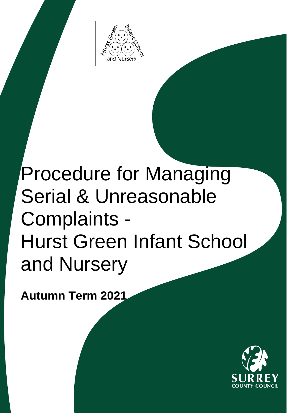

## Procedure for Managing Serial & Unreasonable Complaints - Hurst Green Infant School and Nursery

**Autumn Term 2021**

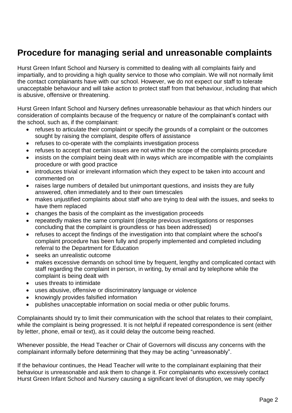## **Procedure for managing serial and unreasonable complaints**

Hurst Green Infant School and Nursery is committed to dealing with all complaints fairly and impartially, and to providing a high quality service to those who complain. We will not normally limit the contact complainants have with our school. However, we do not expect our staff to tolerate unacceptable behaviour and will take action to protect staff from that behaviour, including that which is abusive, offensive or threatening.

Hurst Green Infant School and Nursery defines unreasonable behaviour as that which hinders our consideration of complaints because of the frequency or nature of the complainant's contact with the school, such as, if the complainant:

- refuses to articulate their complaint or specify the grounds of a complaint or the outcomes sought by raising the complaint, despite offers of assistance
- refuses to co-operate with the complaints investigation process
- refuses to accept that certain issues are not within the scope of the complaints procedure
- insists on the complaint being dealt with in ways which are incompatible with the complaints procedure or with good practice
- introduces trivial or irrelevant information which they expect to be taken into account and commented on
- raises large numbers of detailed but unimportant questions, and insists they are fully answered, often immediately and to their own timescales
- makes unjustified complaints about staff who are trying to deal with the issues, and seeks to have them replaced
- changes the basis of the complaint as the investigation proceeds
- repeatedly makes the same complaint (despite previous investigations or responses concluding that the complaint is groundless or has been addressed)
- refuses to accept the findings of the investigation into that complaint where the school's complaint procedure has been fully and properly implemented and completed including referral to the Department for Education
- seeks an unrealistic outcome
- makes excessive demands on school time by frequent, lengthy and complicated contact with staff regarding the complaint in person, in writing, by email and by telephone while the complaint is being dealt with
- uses threats to intimidate
- uses abusive, offensive or discriminatory language or violence
- knowingly provides falsified information
- publishes unacceptable information on social media or other public forums.

Complainants should try to limit their communication with the school that relates to their complaint, while the complaint is being progressed. It is not helpful if repeated correspondence is sent (either by letter, phone, email or text), as it could delay the outcome being reached.

Whenever possible, the Head Teacher or Chair of Governors will discuss any concerns with the complainant informally before determining that they may be acting "unreasonably".

If the behaviour continues, the Head Teacher will write to the complainant explaining that their behaviour is unreasonable and ask them to change it. For complainants who excessively contact Hurst Green Infant School and Nursery causing a significant level of disruption, we may specify